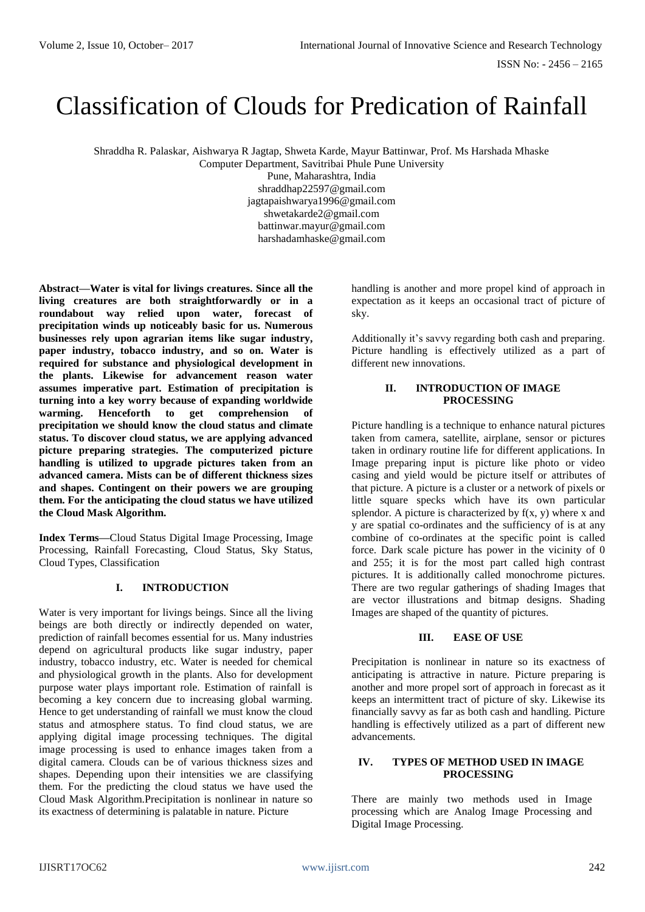# Classification of Clouds for Predication of Rainfall

Shraddha R. Palaskar, Aishwarya R Jagtap, Shweta Karde, Mayur Battinwar, Prof. Ms Harshada Mhaske

Computer Department, Savitribai Phule Pune University

Pune, Maharashtra, India shraddhap22597@gmail.com jagtapaishwarya1996@gmail.com shwetakarde2@gmail.com battinwar.mayur@gmail.com harshadamhaske@gmail.com

**Abstract—Water is vital for livings creatures. Since all the living creatures are both straightforwardly or in a roundabout way relied upon water, forecast of precipitation winds up noticeably basic for us. Numerous businesses rely upon agrarian items like sugar industry, paper industry, tobacco industry, and so on. Water is required for substance and physiological development in the plants. Likewise for advancement reason water assumes imperative part. Estimation of precipitation is turning into a key worry because of expanding worldwide warming. Henceforth to get comprehension of precipitation we should know the cloud status and climate status. To discover cloud status, we are applying advanced picture preparing strategies. The computerized picture handling is utilized to upgrade pictures taken from an advanced camera. Mists can be of different thickness sizes and shapes. Contingent on their powers we are grouping them. For the anticipating the cloud status we have utilized the Cloud Mask Algorithm.**

**Index Terms—**Cloud Status Digital Image Processing, Image Processing, Rainfall Forecasting, Cloud Status, Sky Status, Cloud Types, Classification

# **I. INTRODUCTION**

Water is very important for livings beings. Since all the living beings are both directly or indirectly depended on water, prediction of rainfall becomes essential for us. Many industries depend on agricultural products like sugar industry, paper industry, tobacco industry, etc. Water is needed for chemical and physiological growth in the plants. Also for development purpose water plays important role. Estimation of rainfall is becoming a key concern due to increasing global warming. Hence to get understanding of rainfall we must know the cloud status and atmosphere status. To find cloud status, we are applying digital image processing techniques. The digital image processing is used to enhance images taken from a digital camera. Clouds can be of various thickness sizes and shapes. Depending upon their intensities we are classifying them. For the predicting the cloud status we have used the Cloud Mask Algorithm.Precipitation is nonlinear in nature so its exactness of determining is palatable in nature. Picture

handling is another and more propel kind of approach in expectation as it keeps an occasional tract of picture of sky.

Additionally it's savvy regarding both cash and preparing. Picture handling is effectively utilized as a part of different new innovations.

# **II. INTRODUCTION OF IMAGE PROCESSING**

Picture handling is a technique to enhance natural pictures taken from camera, satellite, airplane, sensor or pictures taken in ordinary routine life for different applications. In Image preparing input is picture like photo or video casing and yield would be picture itself or attributes of that picture. A picture is a cluster or a network of pixels or little square specks which have its own particular splendor. A picture is characterized by  $f(x, y)$  where x and y are spatial co-ordinates and the sufficiency of is at any combine of co-ordinates at the specific point is called force. Dark scale picture has power in the vicinity of 0 and 255; it is for the most part called high contrast pictures. It is additionally called monochrome pictures. There are two regular gatherings of shading Images that are vector illustrations and bitmap designs. Shading Images are shaped of the quantity of pictures.

# **III. EASE OF USE**

Precipitation is nonlinear in nature so its exactness of anticipating is attractive in nature. Picture preparing is another and more propel sort of approach in forecast as it keeps an intermittent tract of picture of sky. Likewise its financially savvy as far as both cash and handling. Picture handling is effectively utilized as a part of different new advancements.

## **IV. TYPES OF METHOD USED IN IMAGE PROCESSING**

There are mainly two methods used in Image processing which are Analog Image Processing and Digital Image Processing.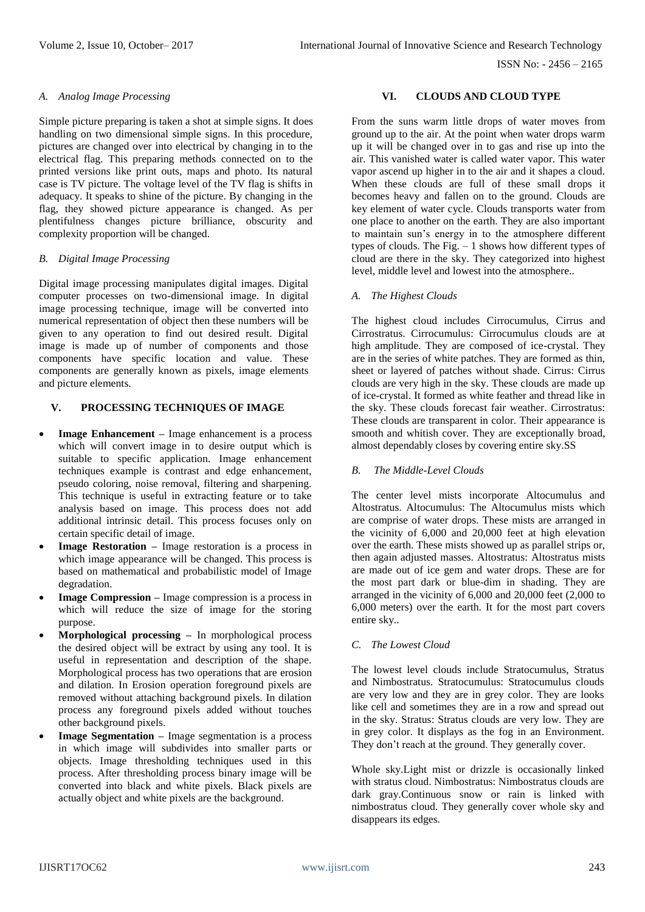## *A. Analog Image Processing*

Simple picture preparing is taken a shot at simple signs. It does handling on two dimensional simple signs. In this procedure, pictures are changed over into electrical by changing in to the electrical flag. This preparing methods connected on to the printed versions like print outs, maps and photo. Its natural case is TV picture. The voltage level of the TV flag is shifts in adequacy. It speaks to shine of the picture. By changing in the flag, they showed picture appearance is changed. As per plentifulness changes picture brilliance, obscurity and complexity proportion will be changed.

## *B. Digital Image Processing*

Digital image processing manipulates digital images. Digital computer processes on two-dimensional image. In digital image processing technique, image will be converted into numerical representation of object then these numbers will be given to any operation to find out desired result. Digital image is made up of number of components and those components have specific location and value. These components are generally known as pixels, image elements and picture elements.

## **V. PROCESSING TECHNIQUES OF IMAGE**

- **Image Enhancement –** Image enhancement is a process which will convert image in to desire output which is suitable to specific application. Image enhancement techniques example is contrast and edge enhancement, pseudo coloring, noise removal, filtering and sharpening. This technique is useful in extracting feature or to take analysis based on image. This process does not add additional intrinsic detail. This process focuses only on certain specific detail of image.
- **Image Restoration –** Image restoration is a process in which image appearance will be changed. This process is based on mathematical and probabilistic model of Image degradation.
- **Image Compression –** Image compression is a process in which will reduce the size of image for the storing purpose.
- **Morphological processing –** In morphological process the desired object will be extract by using any tool. It is useful in representation and description of the shape. Morphological process has two operations that are erosion and dilation. In Erosion operation foreground pixels are removed without attaching background pixels. In dilation process any foreground pixels added without touches other background pixels.
- **Image Segmentation –** Image segmentation is a process in which image will subdivides into smaller parts or objects. Image thresholding techniques used in this process. After thresholding process binary image will be converted into black and white pixels. Black pixels are actually object and white pixels are the background.

#### **VI. CLOUDS AND CLOUD TYPE**

From the suns warm little drops of water moves from ground up to the air. At the point when water drops warm up it will be changed over in to gas and rise up into the air. This vanished water is called water vapor. This water vapor ascend up higher in to the air and it shapes a cloud. When these clouds are full of these small drops it becomes heavy and fallen on to the ground. Clouds are key element of water cycle. Clouds transports water from one place to another on the earth. They are also important to maintain sun's energy in to the atmosphere different types of clouds. The Fig.  $-1$  shows how different types of cloud are there in the sky. They categorized into highest level, middle level and lowest into the atmosphere..

#### *A. The Highest Clouds*

The highest cloud includes Cirrocumulus, Cirrus and Cirrostratus. Cirrocumulus: Cirrocumulus clouds are at high amplitude. They are composed of ice-crystal. They are in the series of white patches. They are formed as thin, sheet or layered of patches without shade. Cirrus: Cirrus clouds are very high in the sky. These clouds are made up of ice-crystal. It formed as white feather and thread like in the sky. These clouds forecast fair weather. Cirrostratus: These clouds are transparent in color. Their appearance is smooth and whitish cover. They are exceptionally broad, almost dependably closes by covering entire sky.SS

## *B. The Middle-Level Clouds*

The center level mists incorporate Altocumulus and Altostratus. Altocumulus: The Altocumulus mists which are comprise of water drops. These mists are arranged in the vicinity of 6,000 and 20,000 feet at high elevation over the earth. These mists showed up as parallel strips or, then again adjusted masses. Altostratus: Altostratus mists are made out of ice gem and water drops. These are for the most part dark or blue-dim in shading. They are arranged in the vicinity of 6,000 and 20,000 feet (2,000 to 6,000 meters) over the earth. It for the most part covers entire sky..

## *C. The Lowest Cloud*

The lowest level clouds include Stratocumulus, Stratus and Nimbostratus. Stratocumulus: Stratocumulus clouds are very low and they are in grey color. They are looks like cell and sometimes they are in a row and spread out in the sky. Stratus: Stratus clouds are very low. They are in grey color. It displays as the fog in an Environment. They don't reach at the ground. They generally cover.

Whole sky.Light mist or drizzle is occasionally linked with stratus cloud. Nimbostratus: Nimbostratus clouds are dark gray.Continuous snow or rain is linked with nimbostratus cloud. They generally cover whole sky and disappears its edges.